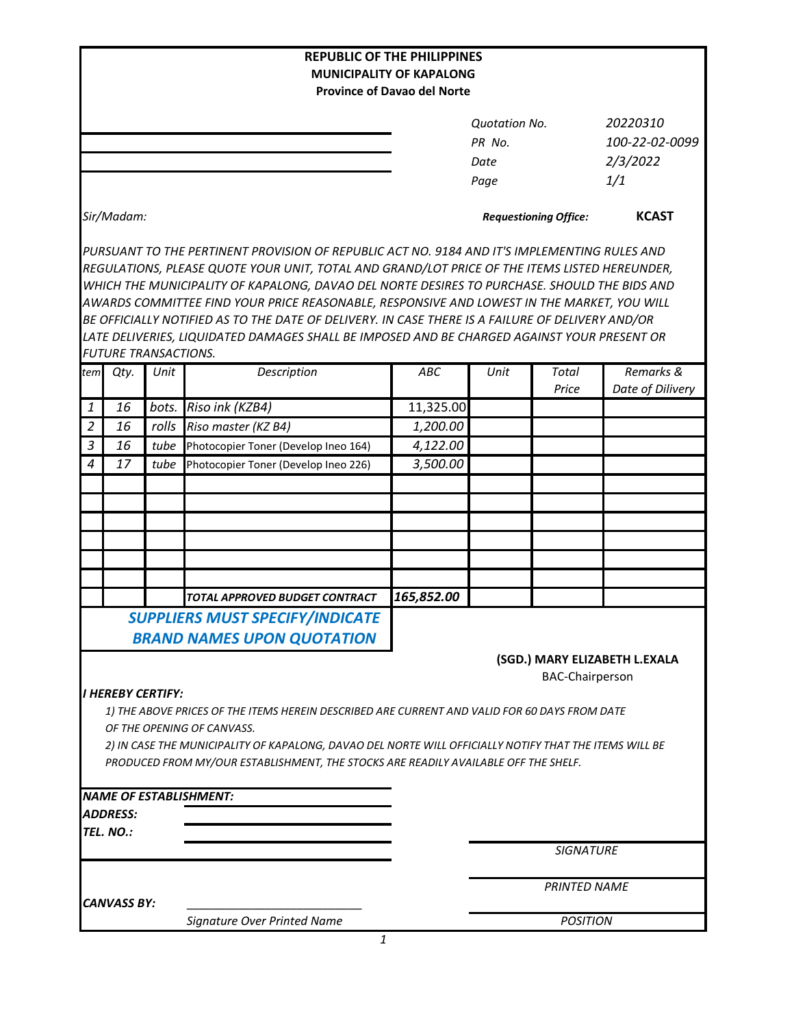| <b>REPUBLIC OF THE PHILIPPINES</b><br><b>MUNICIPALITY OF KAPALONG</b><br><b>Province of Davao del Norte</b> |                             |       |                                                                                              |            |                              |                |                               |
|-------------------------------------------------------------------------------------------------------------|-----------------------------|-------|----------------------------------------------------------------------------------------------|------------|------------------------------|----------------|-------------------------------|
|                                                                                                             |                             |       |                                                                                              |            |                              |                |                               |
|                                                                                                             |                             |       |                                                                                              |            | <b>Quotation No.</b>         |                | 20220310                      |
|                                                                                                             |                             |       |                                                                                              | PR No.     |                              | 100-22-02-0099 |                               |
|                                                                                                             |                             |       |                                                                                              |            | Date                         |                | 2/3/2022                      |
|                                                                                                             |                             |       |                                                                                              |            | Page                         |                | 1/1                           |
|                                                                                                             |                             |       |                                                                                              |            |                              |                |                               |
|                                                                                                             | Sir/Madam:                  |       |                                                                                              |            | <b>Requestioning Office:</b> |                | <b>KCAST</b>                  |
|                                                                                                             |                             |       | PURSUANT TO THE PERTINENT PROVISION OF REPUBLIC ACT NO. 9184 AND IT'S IMPLEMENTING RULES AND |            |                              |                |                               |
| REGULATIONS, PLEASE QUOTE YOUR UNIT, TOTAL AND GRAND/LOT PRICE OF THE ITEMS LISTED HEREUNDER,               |                             |       |                                                                                              |            |                              |                |                               |
|                                                                                                             |                             |       | WHICH THE MUNICIPALITY OF KAPALONG, DAVAO DEL NORTE DESIRES TO PURCHASE. SHOULD THE BIDS AND |            |                              |                |                               |
| AWARDS COMMITTEE FIND YOUR PRICE REASONABLE, RESPONSIVE AND LOWEST IN THE MARKET, YOU WILL                  |                             |       |                                                                                              |            |                              |                |                               |
| BE OFFICIALLY NOTIFIED AS TO THE DATE OF DELIVERY. IN CASE THERE IS A FAILURE OF DELIVERY AND/OR            |                             |       |                                                                                              |            |                              |                |                               |
| LATE DELIVERIES, LIQUIDATED DAMAGES SHALL BE IMPOSED AND BE CHARGED AGAINST YOUR PRESENT OR                 |                             |       |                                                                                              |            |                              |                |                               |
|                                                                                                             | <b>FUTURE TRANSACTIONS.</b> |       |                                                                                              |            |                              |                |                               |
| tem                                                                                                         | Qty.                        | Unit  | Description                                                                                  | ABC        | Unit                         | Total<br>Price | Remarks &<br>Date of Dilivery |
| 1                                                                                                           | 16                          | bots. | Riso ink (KZB4)                                                                              | 11,325.00  |                              |                |                               |
| $\overline{2}$                                                                                              | 16                          | rolls | Riso master (KZ B4)                                                                          | 1,200.00   |                              |                |                               |
| $\mathfrak{Z}$                                                                                              | 16                          | tube  | Photocopier Toner (Develop Ineo 164)                                                         | 4,122.00   |                              |                |                               |
| $\overline{4}$                                                                                              | 17                          | tube  | Photocopier Toner (Develop Ineo 226)                                                         | 3,500.00   |                              |                |                               |
|                                                                                                             |                             |       |                                                                                              |            |                              |                |                               |
|                                                                                                             |                             |       |                                                                                              |            |                              |                |                               |
|                                                                                                             |                             |       |                                                                                              |            |                              |                |                               |
|                                                                                                             |                             |       |                                                                                              |            |                              |                |                               |
|                                                                                                             |                             |       |                                                                                              |            |                              |                |                               |
|                                                                                                             |                             |       |                                                                                              |            |                              |                |                               |
|                                                                                                             |                             |       |                                                                                              |            |                              |                |                               |
|                                                                                                             |                             |       | TOTAL APPROVED BUDGET CONTRACT                                                               | 165,852.00 |                              |                |                               |
| <b>SUPPLIERS MUST SPECIFY/INDICATE</b>                                                                      |                             |       |                                                                                              |            |                              |                |                               |
|                                                                                                             |                             |       | <b>BRAND NAMES UPON QUOTATION</b>                                                            |            |                              |                |                               |
| (SGD.) MARY ELIZABETH L.EXALA                                                                               |                             |       |                                                                                              |            |                              |                |                               |
| <b>BAC-Chairperson</b>                                                                                      |                             |       |                                                                                              |            |                              |                |                               |
|                                                                                                             | <b>I HEREBY CERTIFY:</b>    |       |                                                                                              |            |                              |                |                               |
| 1) THE ABOVE PRICES OF THE ITEMS HEREIN DESCRIBED ARE CURRENT AND VALID FOR 60 DAYS FROM DATE               |                             |       |                                                                                              |            |                              |                |                               |
| OF THE OPENING OF CANVASS.                                                                                  |                             |       |                                                                                              |            |                              |                |                               |
| 2) IN CASE THE MUNICIPALITY OF KAPALONG, DAVAO DEL NORTE WILL OFFICIALLY NOTIFY THAT THE ITEMS WILL BE      |                             |       |                                                                                              |            |                              |                |                               |
|                                                                                                             |                             |       | PRODUCED FROM MY/OUR ESTABLISHMENT, THE STOCKS ARE READILY AVAILABLE OFF THE SHELF.          |            |                              |                |                               |
|                                                                                                             |                             |       |                                                                                              |            |                              |                |                               |
|                                                                                                             |                             |       | <b>NAME OF ESTABLISHMENT:</b>                                                                |            |                              |                |                               |
|                                                                                                             | <b>ADDRESS:</b>             |       |                                                                                              |            |                              |                |                               |
|                                                                                                             | TEL. NO.:                   |       |                                                                                              |            | <b>SIGNATURE</b>             |                |                               |
|                                                                                                             |                             |       |                                                                                              |            |                              |                |                               |
|                                                                                                             |                             |       |                                                                                              |            |                              |                |                               |
|                                                                                                             | <b>CANVASS BY:</b>          |       |                                                                                              |            | <b>PRINTED NAME</b>          |                |                               |
|                                                                                                             |                             |       | Signature Over Printed Name                                                                  |            | <b>POSITION</b>              |                |                               |
|                                                                                                             |                             |       | 1                                                                                            |            |                              |                |                               |